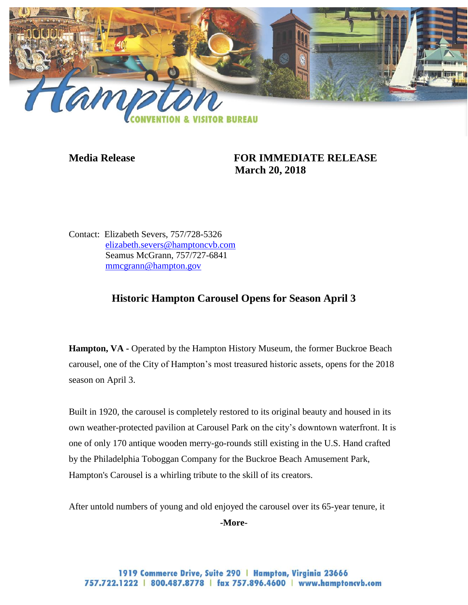

## **Media Release FOR IMMEDIATE RELEASE March 20, 2018**

Contact: Elizabeth Severs, 757/728-5326 [elizabeth.severs@hamptoncvb.com](mailto:elizabeth.severs@hamptoncvb.com) Seamus McGrann, 757/727-6841 [mmcgrann@hampton.gov](mailto:mmcgrann@hampton.gov)

## **Historic Hampton Carousel Opens for Season April 3**

**Hampton, VA -** Operated by the Hampton History Museum, the former Buckroe Beach carousel, one of the City of Hampton's most treasured historic assets, opens for the 2018 season on April 3.

Built in 1920, the carousel is completely restored to its original beauty and housed in its own weather-protected pavilion at Carousel Park on the city's downtown waterfront. It is one of only 170 antique wooden merry-go-rounds still existing in the U.S. Hand crafted by the Philadelphia Toboggan Company for the Buckroe Beach Amusement Park, Hampton's Carousel is a whirling tribute to the skill of its creators.

After untold numbers of young and old enjoyed the carousel over its 65-year tenure, it

**-More-**